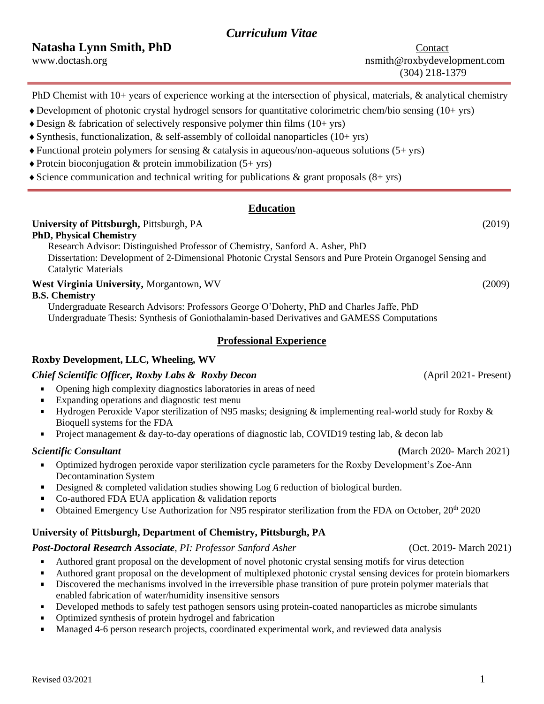# *Curriculum Vitae*

**Natasha Lynn Smith, PhD** Contact

PhD Chemist with 10+ years of experience working at the intersection of physical, materials, & analytical chemistry

- $\triangle$  Development of photonic crystal hydrogel sensors for quantitative colorimetric chem/bio sensing (10+ yrs)
- $\triangle$  Design & fabrication of selectively responsive polymer thin films (10+ yrs)
- $\blacklozenge$  Synthesis, functionalization, & self-assembly of colloidal nanoparticles (10+ yrs)
- $\triangle$  Functional protein polymers for sensing & catalysis in aqueous/non-aqueous solutions (5+ yrs)
- $\triangle$  Protein bioconjugation & protein immobilization (5+ yrs)
- $\triangle$  Science communication and technical writing for publications & grant proposals (8+ yrs)

# **Education**

# **University of Pittsburgh,** Pittsburgh, PA (2019)

**PhD, Physical Chemistry** 

Research Advisor: Distinguished Professor of Chemistry, Sanford A. Asher, PhD Dissertation: Development of 2-Dimensional Photonic Crystal Sensors and Pure Protein Organogel Sensing and Catalytic Materials

### **West Virginia University,** Morgantown, WV (2009)

#### **B.S. Chemistry**

Undergraduate Research Advisors: Professors George O'Doherty, PhD and Charles Jaffe, PhD Undergraduate Thesis: Synthesis of Goniothalamin-based Derivatives and GAMESS Computations

# **Professional Experience**

# **Roxby Development, LLC, Wheeling, WV**

# *Chief Scientific Officer, Roxby Labs & Roxby Decon* (April 2021- Present)

- $\blacksquare$ Opening high complexity diagnostics laboratories in areas of need
- $\blacksquare$ Expanding operations and diagnostic test menu
- Hydrogen Peroxide Vapor sterilization of N95 masks; designing & implementing real-world study for Roxby &  $\blacksquare$ Bioquell systems for the FDA
- $\blacksquare$ Project management & day-to-day operations of diagnostic lab, COVID19 testing lab, & decon lab

- Optimized hydrogen peroxide vapor sterilization cycle parameters for the Roxby Development's Zoe-Ann  $\mathbf{u}$ Decontamination System
- Designed & completed validation studies showing Log 6 reduction of biological burden.  $\blacksquare$
- Co-authored FDA EUA application & validation reports  $\blacksquare$
- Obtained Emergency Use Authorization for N95 respirator sterilization from the FDA on October, 20<sup>th</sup> 2020  $\blacksquare$

# **University of Pittsburgh, Department of Chemistry, Pittsburgh, PA**

# *Post-Doctoral Research Associate, PI: Professor Sanford Asher* (Oct. 2019- March 2021)

- $\blacksquare$ Authored grant proposal on the development of novel photonic crystal sensing motifs for virus detection
- Authored grant proposal on the development of multiplexed photonic crystal sensing devices for protein biomarkers  $\blacksquare$
- Discovered the mechanisms involved in the irreversible phase transition of pure protein polymer materials that  $\blacksquare$ enabled fabrication of water/humidity insensitive sensors
- Developed methods to safely test pathogen sensors using protein-coated nanoparticles as microbe simulants  $\blacksquare$
- Optimized synthesis of protein hydrogel and fabrication  $\blacksquare$
- Managed 4-6 person research projects, coordinated experimental work, and reviewed data analysis

*Scientific Consultant* **(**March 2020- March 2021)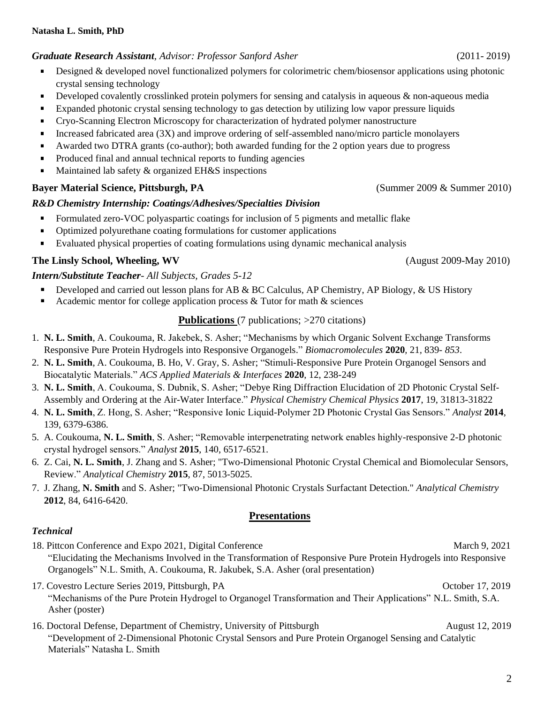### *Graduate Research Assistant, Advisor: Professor Sanford Asher* (2011- 2019)

- Designed & developed novel functionalized polymers for colorimetric chem/biosensor applications using photonic  $\blacksquare$ crystal sensing technology
- Developed covalently crosslinked protein polymers for sensing and catalysis in aqueous & non-aqueous media  $\blacksquare$
- Expanded photonic crystal sensing technology to gas detection by utilizing low vapor pressure liquids  $\blacksquare$
- Cryo-Scanning Electron Microscopy for characterization of hydrated polymer nanostructure  $\blacksquare$
- Increased fabricated area (3X) and improve ordering of self-assembled nano/micro particle monolayers Ξ
- $\blacksquare$ Awarded two DTRA grants (co-author); both awarded funding for the 2 option years due to progress
- Produced final and annual technical reports to funding agencies  $\blacksquare$
- Maintained lab safety & organized EH&S inspections ×,

#### **Bayer Material Science, Pittsburgh, PA** (Summer 2009 & Summer 2010)

#### *R&D Chemistry Internship: Coatings/Adhesives/Specialties Division*

- Formulated zero-VOC polyaspartic coatings for inclusion of 5 pigments and metallic flake
- $\blacksquare$ Optimized polyurethane coating formulations for customer applications
- Evaluated physical properties of coating formulations using dynamic mechanical analysis

#### **The Linsly School, Wheeling, WV**(August 2009-May 2010)

#### *Intern/Substitute Teacher- All Subjects, Grades 5-12*

- $\blacksquare$ Developed and carried out lesson plans for AB & BC Calculus, AP Chemistry, AP Biology, & US History
- Academic mentor for college application process & Tutor for math & sciences  $\blacksquare$

#### **Publications** (7 publications; >270 citations)

- 1. **N. L. Smith**, A. Coukouma, R. Jakebek, S. Asher; "Mechanisms by which Organic Solvent Exchange Transforms Responsive Pure Protein Hydrogels into Responsive Organogels." *Biomacromolecules* **2020***,* 21*,* 839- *853*.
- 2. **N. L. Smith**, A. Coukouma, B. Ho, V. Gray, S. Asher; "Stimuli-Responsive Pure Protein Organogel Sensors and Biocatalytic Materials." *ACS Applied Materials & Interfaces* **2020**, 12, 238-249
- 3. **N. L. Smith**, A. Coukouma, S. Dubnik, S. Asher; "Debye Ring Diffraction Elucidation of 2D Photonic Crystal Self-Assembly and Ordering at the Air-Water Interface." *Physical Chemistry Chemical Physics* **2017**, 19, 31813-31822
- 4. **N. L. Smith**, Z. Hong, S. Asher; "Responsive Ionic Liquid-Polymer 2D Photonic Crystal Gas Sensors." *Analyst* **2014**, 139, 6379-6386.
- 5. A. Coukouma, **N. L. Smith**, S. Asher; "Removable interpenetrating network enables highly-responsive 2-D photonic crystal hydrogel sensors." *Analyst* **2015**, 140, 6517-6521.
- 6. Z. Cai, **N. L. Smith**, J. Zhang and S. Asher; "Two-Dimensional Photonic Crystal Chemical and Biomolecular Sensors, Review." *Analytical Chemistry* **2015**, 87, 5013-5025.
- 7. J. Zhang, **N. Smith** and S. Asher; "Two-Dimensional Photonic Crystals Surfactant Detection." *Analytical Chemistry* **2012**, 84, 6416-6420.

#### **Presentations**

#### *Technical*

- 18. Pittcon Conference and Expo 2021, Digital Conference March 9, 2021 "Elucidating the Mechanisms Involved in the Transformation of Responsive Pure Protein Hydrogels into Responsive Organogels" N.L. Smith, A. Coukouma, R. Jakubek, S.A. Asher (oral presentation)
- 17. Covestro Lecture Series 2019, Pittsburgh, PA October 17, 2019 "Mechanisms of the Pure Protein Hydrogel to Organogel Transformation and Their Applications" N.L. Smith, S.A. Asher (poster)
- 16. Doctoral Defense, Department of Chemistry, University of Pittsburgh August 12, 2019 "Development of 2-Dimensional Photonic Crystal Sensors and Pure Protein Organogel Sensing and Catalytic Materials" Natasha L. Smith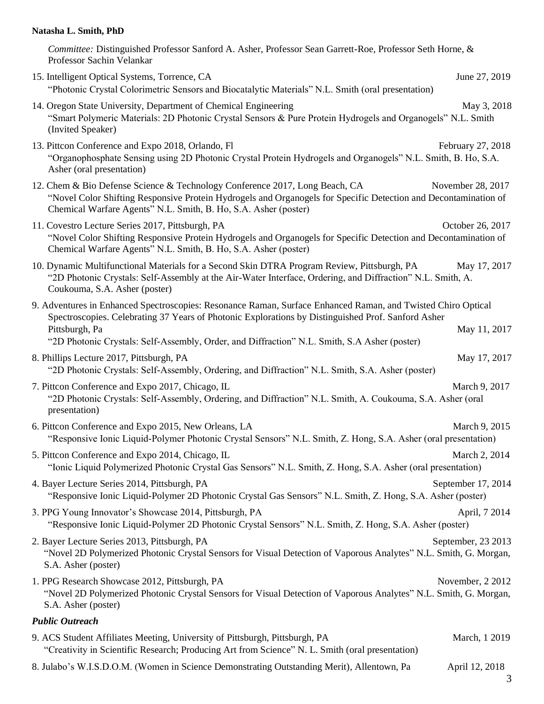#### **Natasha L. Smith, PhD**

*Committee:* Distinguished Professor Sanford A. Asher, Professor Sean Garrett-Roe, Professor Seth Horne, & Professor Sachin Velankar

- 15. Intelligent Optical Systems, Torrence, CA June 27, 2019 "Photonic Crystal Colorimetric Sensors and Biocatalytic Materials" N.L. Smith (oral presentation)
- 14. Oregon State University, Department of Chemical Engineering May 3, 2018 "Smart Polymeric Materials: 2D Photonic Crystal Sensors & Pure Protein Hydrogels and Organogels" N.L. Smith (Invited Speaker)
- 13. Pittcon Conference and Expo 2018, Orlando, Fl **February 27, 2018** February 27, 2018 "Organophosphate Sensing using 2D Photonic Crystal Protein Hydrogels and Organogels" N.L. Smith, B. Ho, S.A. Asher (oral presentation)
- 12. Chem & Bio Defense Science & Technology Conference 2017, Long Beach, CA November 28, 2017 "Novel Color Shifting Responsive Protein Hydrogels and Organogels for Specific Detection and Decontamination of Chemical Warfare Agents" N.L. Smith, B. Ho, S.A. Asher (poster)
- 11. Covestro Lecture Series 2017, Pittsburgh, PA October 26, 2017 "Novel Color Shifting Responsive Protein Hydrogels and Organogels for Specific Detection and Decontamination of Chemical Warfare Agents" N.L. Smith, B. Ho, S.A. Asher (poster)
- 10. Dynamic Multifunctional Materials for a Second Skin DTRA Program Review, Pittsburgh, PA May 17, 2017 "2D Photonic Crystals: Self-Assembly at the Air-Water Interface, Ordering, and Diffraction" N.L. Smith, A. Coukouma, S.A. Asher (poster)
- 9. Adventures in Enhanced Spectroscopies: Resonance Raman, Surface Enhanced Raman, and Twisted Chiro Optical Spectroscopies. Celebrating 37 Years of Photonic Explorations by Distinguished Prof. Sanford Asher Pittsburgh, Pa May 11, 2017 "2D Photonic Crystals: Self-Assembly, Order, and Diffraction" N.L. Smith, S.A Asher (poster)
- 8. Phillips Lecture 2017, Pittsburgh, PA May 17, 2017 "2D Photonic Crystals: Self-Assembly, Ordering, and Diffraction" N.L. Smith, S.A. Asher (poster)
- 7. Pittcon Conference and Expo 2017, Chicago, IL March 9, 2017 "2D Photonic Crystals: Self-Assembly, Ordering, and Diffraction" N.L. Smith, A. Coukouma, S.A. Asher (oral presentation)
- 6. Pittcon Conference and Expo 2015, New Orleans, LA March 9, 2015 "Responsive Ionic Liquid-Polymer Photonic Crystal Sensors" N.L. Smith, Z. Hong, S.A. Asher (oral presentation)
- 5. Pittcon Conference and Expo 2014, Chicago, IL March 2, 2014 "Ionic Liquid Polymerized Photonic Crystal Gas Sensors" N.L. Smith, Z. Hong, S.A. Asher (oral presentation)
- 4. Bayer Lecture Series 2014, Pittsburgh, PA September 17, 2014 "Responsive Ionic Liquid-Polymer 2D Photonic Crystal Gas Sensors" N.L. Smith, Z. Hong, S.A. Asher (poster)
- 3. PPG Young Innovator's Showcase 2014, Pittsburgh, PA April, 7 2014 "Responsive Ionic Liquid-Polymer 2D Photonic Crystal Sensors" N.L. Smith, Z. Hong, S.A. Asher (poster)
- 2. Bayer Lecture Series 2013, Pittsburgh, PA September, 23 2013 "Novel 2D Polymerized Photonic Crystal Sensors for Visual Detection of Vaporous Analytes" N.L. Smith, G. Morgan, S.A. Asher (poster)
- 1. PPG Research Showcase 2012, Pittsburgh, PA November, 2 2012 "Novel 2D Polymerized Photonic Crystal Sensors for Visual Detection of Vaporous Analytes" N.L. Smith, G. Morgan, S.A. Asher (poster)

#### *Public Outreach*

- 9. ACS Student Affiliates Meeting, University of Pittsburgh, Pittsburgh, PA March, 1 2019 "Creativity in Scientific Research; Producing Art from Science" N. L. Smith (oral presentation)
- 8. Julabo's W.I.S.D.O.M. (Women in Science Demonstrating Outstanding Merit), Allentown, Pa April 12, 2018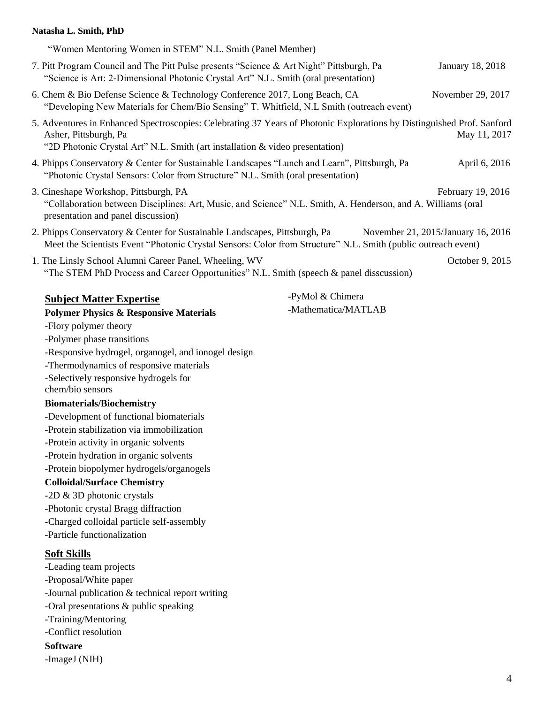### **Natasha L. Smith, PhD**

| "Women Mentoring Women in STEM" N.L. Smith (Panel Member)                                                                                                                                                                       |                     |                                    |
|---------------------------------------------------------------------------------------------------------------------------------------------------------------------------------------------------------------------------------|---------------------|------------------------------------|
| 7. Pitt Program Council and The Pitt Pulse presents "Science & Art Night" Pittsburgh, Pa<br>"Science is Art: 2-Dimensional Photonic Crystal Art" N.L. Smith (oral presentation)                                                 |                     | January 18, 2018                   |
| 6. Chem & Bio Defense Science & Technology Conference 2017, Long Beach, CA<br>"Developing New Materials for Chem/Bio Sensing" T. Whitfield, N.L Smith (outreach event)                                                          |                     | November 29, 2017                  |
| 5. Adventures in Enhanced Spectroscopies: Celebrating 37 Years of Photonic Explorations by Distinguished Prof. Sanford<br>Asher, Pittsburgh, Pa<br>"2D Photonic Crystal Art" N.L. Smith (art installation & video presentation) |                     | May 11, 2017                       |
| 4. Phipps Conservatory & Center for Sustainable Landscapes "Lunch and Learn", Pittsburgh, Pa<br>"Photonic Crystal Sensors: Color from Structure" N.L. Smith (oral presentation)                                                 |                     | April 6, 2016                      |
| 3. Cineshape Workshop, Pittsburgh, PA<br>"Collaboration between Disciplines: Art, Music, and Science" N.L. Smith, A. Henderson, and A. Williams (oral<br>presentation and panel discussion)                                     |                     | February 19, 2016                  |
| 2. Phipps Conservatory & Center for Sustainable Landscapes, Pittsburgh, Pa<br>Meet the Scientists Event "Photonic Crystal Sensors: Color from Structure" N.L. Smith (public outreach event)                                     |                     | November 21, 2015/January 16, 2016 |
| 1. The Linsly School Alumni Career Panel, Wheeling, WV<br>"The STEM PhD Process and Career Opportunities" N.L. Smith (speech & panel disscussion)                                                                               |                     | October 9, 2015                    |
| <b>Subject Matter Expertise</b>                                                                                                                                                                                                 | -PyMol & Chimera    |                                    |
| <b>Polymer Physics &amp; Responsive Materials</b>                                                                                                                                                                               | -Mathematica/MATLAB |                                    |
| -Flory polymer theory                                                                                                                                                                                                           |                     |                                    |
| -Polymer phase transitions                                                                                                                                                                                                      |                     |                                    |
| -Responsive hydrogel, organogel, and ionogel design                                                                                                                                                                             |                     |                                    |
| -Thermodynamics of responsive materials                                                                                                                                                                                         |                     |                                    |
| -Selectively responsive hydrogels for<br>chem/bio sensors                                                                                                                                                                       |                     |                                    |
| <b>Biomaterials/Biochemistry</b>                                                                                                                                                                                                |                     |                                    |
| -Development of functional biomaterials                                                                                                                                                                                         |                     |                                    |
| -Protein stabilization via immobilization                                                                                                                                                                                       |                     |                                    |
| -Protein activity in organic solvents                                                                                                                                                                                           |                     |                                    |
| -Protein hydration in organic solvents                                                                                                                                                                                          |                     |                                    |
| -Protein biopolymer hydrogels/organogels                                                                                                                                                                                        |                     |                                    |
| <b>Colloidal/Surface Chemistry</b>                                                                                                                                                                                              |                     |                                    |
| -2D & 3D photonic crystals                                                                                                                                                                                                      |                     |                                    |
| -Photonic crystal Bragg diffraction                                                                                                                                                                                             |                     |                                    |
| -Charged colloidal particle self-assembly                                                                                                                                                                                       |                     |                                    |
| -Particle functionalization                                                                                                                                                                                                     |                     |                                    |
| <b>Soft Skills</b>                                                                                                                                                                                                              |                     |                                    |
| -Leading team projects                                                                                                                                                                                                          |                     |                                    |
| -Proposal/White paper                                                                                                                                                                                                           |                     |                                    |
| -Journal publication & technical report writing                                                                                                                                                                                 |                     |                                    |
| -Oral presentations & public speaking                                                                                                                                                                                           |                     |                                    |
| -Training/Mentoring                                                                                                                                                                                                             |                     |                                    |
| -Conflict resolution                                                                                                                                                                                                            |                     |                                    |
| <b>Software</b>                                                                                                                                                                                                                 |                     |                                    |
| -ImageJ (NIH)                                                                                                                                                                                                                   |                     |                                    |